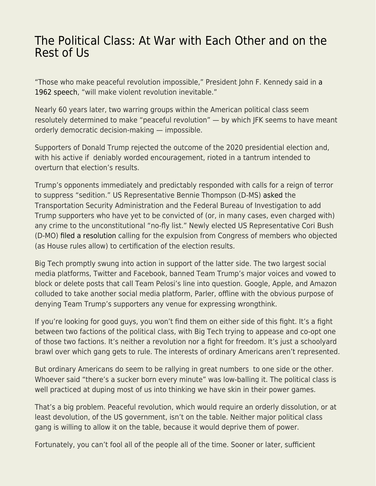## [The Political Class: At War with Each Other and on the](https://everything-voluntary.com/the-political-class-at-war-with-each-other-and-on-the-rest-of-us) [Rest of Us](https://everything-voluntary.com/the-political-class-at-war-with-each-other-and-on-the-rest-of-us)

"Those who make peaceful revolution impossible," President John F. Kennedy said in [a](https://en.wikisource.org/wiki/Address_on_the_First_Anniversary_of_the_Alliance_for_Progress) [1962 speech](https://en.wikisource.org/wiki/Address_on_the_First_Anniversary_of_the_Alliance_for_Progress), "will make violent revolution inevitable."

Nearly 60 years later, two warring groups within the American political class seem resolutely determined to make "peaceful revolution" — by which JFK seems to have meant orderly democratic decision-making — impossible.

Supporters of Donald Trump rejected the outcome of the 2020 presidential election and, with his active if deniably worded encouragement, rioted in a tantrum intended to overturn that election's results.

Trump's opponents immediately and predictably responded with calls for a reign of terror to suppress "sedition." US Representative Bennie Thompson (D-MS) [asked](https://www.flightglobal.com/safety/us-lawmaker-urges-authorities-to-place-rioters-on-national-no-fly-list/141875.article) the Transportation Security Administration and the Federal Bureau of Investigation to add Trump supporters who have yet to be convicted of (or, in many cases, even charged with) any crime to the unconstitutional "no-fly list." Newly elected US Representative Cori Bush (D-MO) [filed a resolution](https://www.stltoday.com/news/local/govt-and-politics/bush-files-resolution-to-expel-republican-lawmakers-who-objected-to-election-results/article_f4ac4af0-6003-5d87-9480-9a11ce6e40d2.html) calling for the expulsion from Congress of members who objected (as House rules allow) to certification of the election results.

Big Tech promptly swung into action in support of the latter side. The two largest social media platforms, Twitter and Facebook, banned Team Trump's major voices and vowed to block or delete posts that call Team Pelosi's line into question. Google, Apple, and Amazon colluded to take another social media platform, Parler, offline with the obvious purpose of denying Team Trump's supporters any venue for expressing wrongthink.

If you're looking for good guys, you won't find them on either side of this fight. It's a fight between two factions of the political class, with Big Tech trying to appease and co-opt one of those two factions. It's neither a revolution nor a fight for freedom. It's just a schoolyard brawl over which gang gets to rule. The interests of ordinary Americans aren't represented.

But ordinary Americans do seem to be rallying in great numbers to one side or the other. Whoever said "there's a sucker born every minute" was low-balling it. The political class is well practiced at duping most of us into thinking we have skin in their power games.

That's a big problem. Peaceful revolution, which would require an orderly dissolution, or at least devolution, of the US government, isn't on the table. Neither major political class gang is willing to allow it on the table, because it would deprive them of power.

Fortunately, you can't fool all of the people all of the time. Sooner or later, sufficient